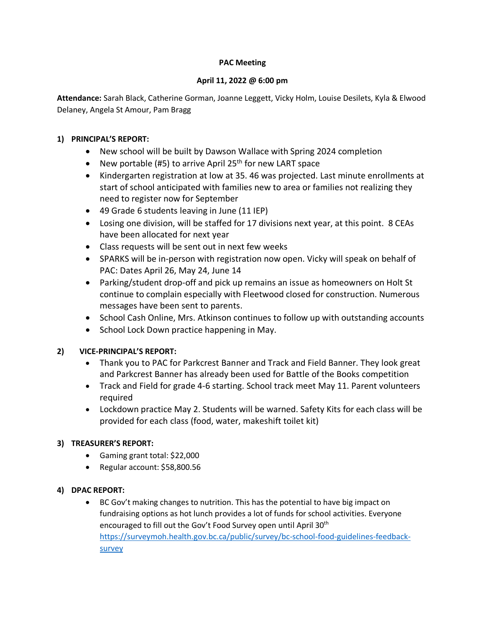#### **PAC Meeting**

#### **April 11, 2022 @ 6:00 pm**

**Attendance:** Sarah Black, Catherine Gorman, Joanne Leggett, Vicky Holm, Louise Desilets, Kyla & Elwood Delaney, Angela St Amour, Pam Bragg

### **1) PRINCIPAL'S REPORT:**

- New school will be built by Dawson Wallace with Spring 2024 completion
- New portable (#5) to arrive April 25<sup>th</sup> for new LART space
- Kindergarten registration at low at 35. 46 was projected. Last minute enrollments at start of school anticipated with families new to area or families not realizing they need to register now for September
- 49 Grade 6 students leaving in June (11 IEP)
- Losing one division, will be staffed for 17 divisions next year, at this point. 8 CEAs have been allocated for next year
- Class requests will be sent out in next few weeks
- SPARKS will be in-person with registration now open. Vicky will speak on behalf of PAC: Dates April 26, May 24, June 14
- Parking/student drop-off and pick up remains an issue as homeowners on Holt St continue to complain especially with Fleetwood closed for construction. Numerous messages have been sent to parents.
- School Cash Online, Mrs. Atkinson continues to follow up with outstanding accounts
- School Lock Down practice happening in May.

# **2) VICE-PRINCIPAL'S REPORT:**

- Thank you to PAC for Parkcrest Banner and Track and Field Banner. They look great and Parkcrest Banner has already been used for Battle of the Books competition
- Track and Field for grade 4-6 starting. School track meet May 11. Parent volunteers required
- Lockdown practice May 2. Students will be warned. Safety Kits for each class will be provided for each class (food, water, makeshift toilet kit)

# **3) TREASURER'S REPORT:**

- Gaming grant total: \$22,000
- Regular account: \$58,800.56

# **4) DPAC REPORT:**

• BC Gov't making changes to nutrition. This has the potential to have big impact on fundraising options as hot lunch provides a lot of funds for school activities. Everyone encouraged to fill out the Gov't Food Survey open until April 30<sup>th</sup> [https://surveymoh.health.gov.bc.ca/public/survey/bc-school-food-guidelines-feedback](https://surveymoh.health.gov.bc.ca/public/survey/bc-school-food-guidelines-feedback-survey)[survey](https://surveymoh.health.gov.bc.ca/public/survey/bc-school-food-guidelines-feedback-survey)